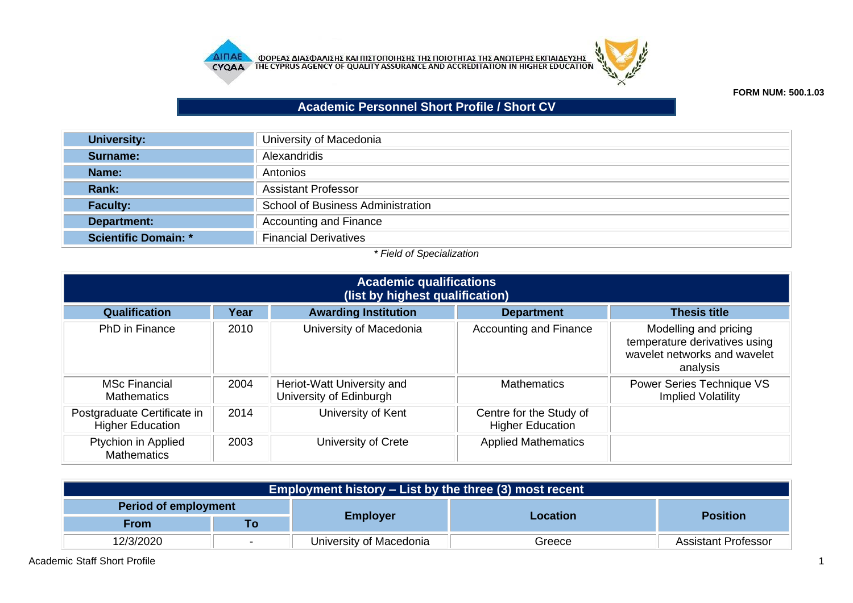



**FORM NUM: 500.1.03**

## **Academic Personnel Short Profile / Short CV**

| <b>University:</b>          | University of Macedonia                  |
|-----------------------------|------------------------------------------|
| Surname:                    | Alexandridis                             |
| Name:                       | Antonios                                 |
| Rank:                       | <b>Assistant Professor</b>               |
| <b>Faculty:</b>             | <b>School of Business Administration</b> |
| <b>Department:</b>          | <b>Accounting and Finance</b>            |
| <b>Scientific Domain: *</b> | <b>Financial Derivatives</b>             |

## *\* Field of Specialization*

| <b>Academic qualifications</b><br>(list by highest qualification) |      |                                                       |                                                    |                                                                                                    |  |
|-------------------------------------------------------------------|------|-------------------------------------------------------|----------------------------------------------------|----------------------------------------------------------------------------------------------------|--|
| Qualification                                                     | Year | <b>Awarding Institution</b>                           | <b>Department</b>                                  | <b>Thesis title</b>                                                                                |  |
| <b>PhD</b> in Finance                                             | 2010 | University of Macedonia                               | <b>Accounting and Finance</b>                      | Modelling and pricing<br>temperature derivatives using<br>wavelet networks and wavelet<br>analysis |  |
| <b>MSc Financial</b><br><b>Mathematics</b>                        | 2004 | Heriot-Watt University and<br>University of Edinburgh | <b>Mathematics</b>                                 | Power Series Technique VS<br><b>Implied Volatility</b>                                             |  |
| Postgraduate Certificate in<br><b>Higher Education</b>            | 2014 | University of Kent                                    | Centre for the Study of<br><b>Higher Education</b> |                                                                                                    |  |
| Ptychion in Applied<br><b>Mathematics</b>                         | 2003 | University of Crete                                   | <b>Applied Mathematics</b>                         |                                                                                                    |  |

| Employment history $-$ List by the three (3) most recent |    |                         |          |                            |
|----------------------------------------------------------|----|-------------------------|----------|----------------------------|
| Period of employment                                     |    |                         | Location |                            |
| From                                                     | To | <b>Employer</b>         |          | <b>Position</b>            |
| 12/3/2020                                                |    | University of Macedonia | Greece   | <b>Assistant Professor</b> |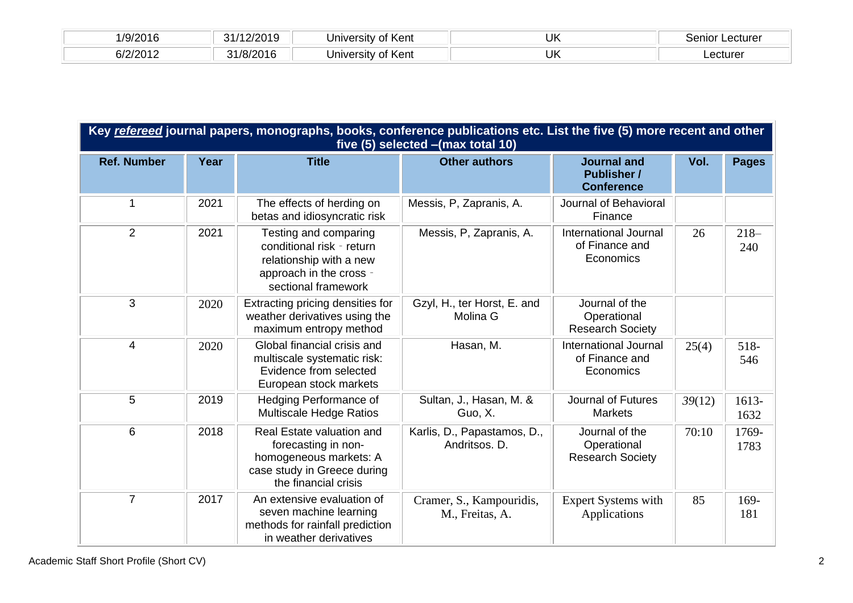| /9/2016                  | 10010<br>24/<br>20 I Y | ∶of Kent<br>∵Iniversitv ∖      | UK | _ecturer<br>nnn<br>JUHOL |
|--------------------------|------------------------|--------------------------------|----|--------------------------|
| R1717N17<br>$\sim$<br>ンロ | 12016<br>ົ<br>18/2.    | ∴Kent<br>∵ Iniversity ⊾<br>OT. | UK | ∟ecturer                 |

| Key refereed journal papers, monographs, books, conference publications etc. List the five (5) more recent and other<br>five (5) selected - (max total 10) |      |                                                                                                                                   |                                              |                                                               |        |               |
|------------------------------------------------------------------------------------------------------------------------------------------------------------|------|-----------------------------------------------------------------------------------------------------------------------------------|----------------------------------------------|---------------------------------------------------------------|--------|---------------|
| <b>Ref. Number</b>                                                                                                                                         | Year | <b>Title</b>                                                                                                                      | <b>Other authors</b>                         | <b>Journal and</b><br><b>Publisher /</b><br><b>Conference</b> | Vol.   | <b>Pages</b>  |
| $\mathbf 1$                                                                                                                                                | 2021 | The effects of herding on<br>betas and idiosyncratic risk                                                                         | Messis, P, Zapranis, A.                      | Journal of Behavioral<br>Finance                              |        |               |
| 2                                                                                                                                                          | 2021 | Testing and comparing<br>conditional risk - return<br>relationship with a new<br>approach in the cross -<br>sectional framework   | Messis, P, Zapranis, A.                      | <b>International Journal</b><br>of Finance and<br>Economics   | 26     | $218-$<br>240 |
| 3                                                                                                                                                          | 2020 | Extracting pricing densities for<br>weather derivatives using the<br>maximum entropy method                                       | Gzyl, H., ter Horst, E. and<br>Molina G      | Journal of the<br>Operational<br><b>Research Society</b>      |        |               |
| 4                                                                                                                                                          | 2020 | Global financial crisis and<br>multiscale systematic risk:<br>Evidence from selected<br>European stock markets                    | Hasan, M.                                    | <b>International Journal</b><br>of Finance and<br>Economics   | 25(4)  | 518-<br>546   |
| 5                                                                                                                                                          | 2019 | Hedging Performance of<br><b>Multiscale Hedge Ratios</b>                                                                          | Sultan, J., Hasan, M. &<br>Guo, X.           | <b>Journal of Futures</b><br><b>Markets</b>                   | 39(12) | 1613-<br>1632 |
| $6\phantom{1}$                                                                                                                                             | 2018 | Real Estate valuation and<br>forecasting in non-<br>homogeneous markets: A<br>case study in Greece during<br>the financial crisis | Karlis, D., Papastamos, D.,<br>Andritsos. D. | Journal of the<br>Operational<br><b>Research Society</b>      | 70:10  | 1769-<br>1783 |
| $\overline{7}$                                                                                                                                             | 2017 | An extensive evaluation of<br>seven machine learning<br>methods for rainfall prediction<br>in weather derivatives                 | Cramer, S., Kampouridis,<br>M., Freitas, A.  | <b>Expert Systems with</b><br>Applications                    | 85     | 169-<br>181   |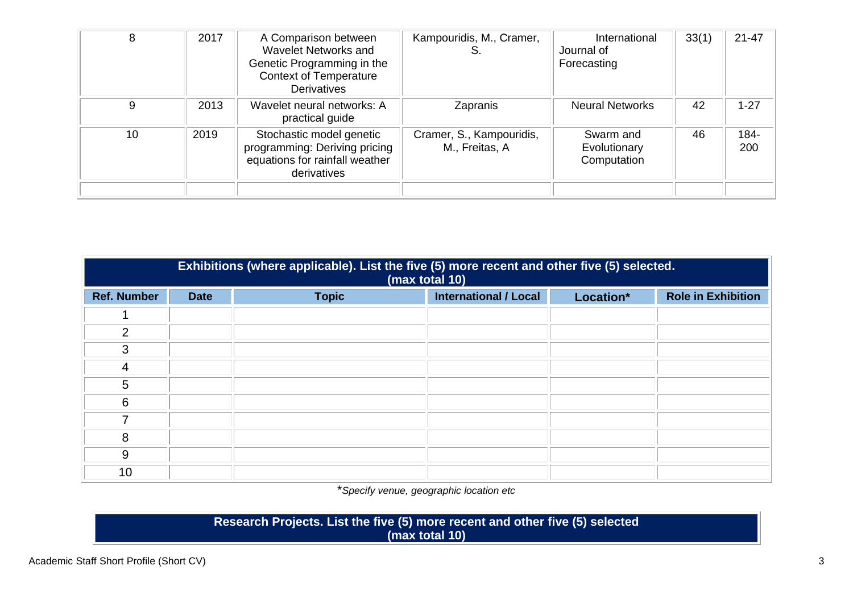| 8  | 2017 | A Comparison between<br>Wavelet Networks and<br>Genetic Programming in the<br><b>Context of Temperature</b><br><b>Derivatives</b> | Kampouridis, M., Cramer,<br>S              | International<br>Journal of<br>Forecasting | 33(1) | $21 - 47$   |
|----|------|-----------------------------------------------------------------------------------------------------------------------------------|--------------------------------------------|--------------------------------------------|-------|-------------|
| 9  | 2013 | Wavelet neural networks: A<br>practical guide                                                                                     | Zapranis                                   | <b>Neural Networks</b>                     | 42    | $1 - 27$    |
| 10 | 2019 | Stochastic model genetic<br>programming: Deriving pricing<br>equations for rainfall weather<br>derivatives                        | Cramer, S., Kampouridis,<br>M., Freitas, A | Swarm and<br>Evolutionary<br>Computation   | 46    | 184-<br>200 |
|    |      |                                                                                                                                   |                                            |                                            |       |             |

| Exhibitions (where applicable). List the five (5) more recent and other five (5) selected.<br>(max total 10) |             |              |                              |           |                           |
|--------------------------------------------------------------------------------------------------------------|-------------|--------------|------------------------------|-----------|---------------------------|
| <b>Ref. Number</b>                                                                                           | <b>Date</b> | <b>Topic</b> | <b>International / Local</b> | Location* | <b>Role in Exhibition</b> |
|                                                                                                              |             |              |                              |           |                           |
| 2                                                                                                            |             |              |                              |           |                           |
| 3                                                                                                            |             |              |                              |           |                           |
| 4                                                                                                            |             |              |                              |           |                           |
| 5                                                                                                            |             |              |                              |           |                           |
| 6                                                                                                            |             |              |                              |           |                           |
| 7                                                                                                            |             |              |                              |           |                           |
| 8                                                                                                            |             |              |                              |           |                           |
| 9                                                                                                            |             |              |                              |           |                           |
| 10                                                                                                           |             |              |                              |           |                           |

\**Specify venue, geographic location etc*

**Research Projects. List the five (5) more recent and other five (5) selected (max total 10)**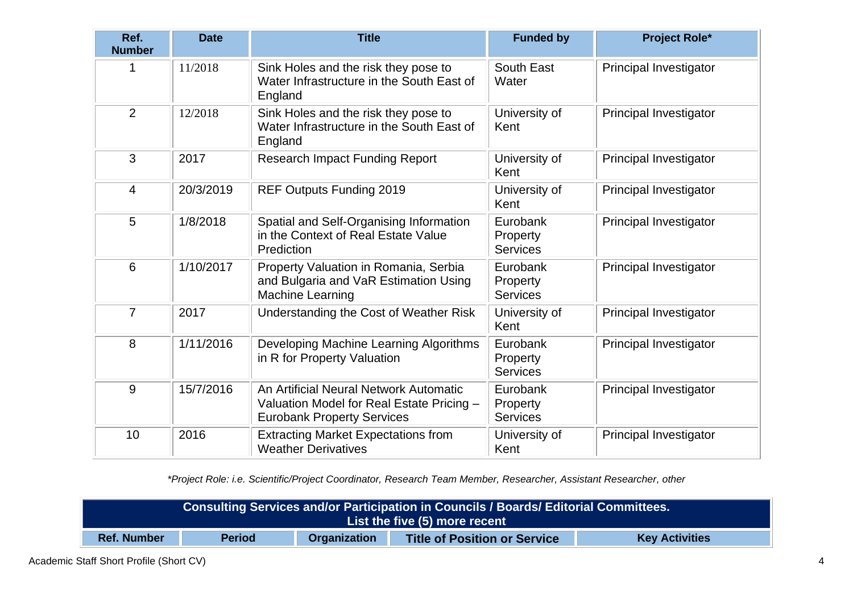| Ref.<br><b>Number</b> | <b>Date</b> | <b>Title</b>                                                                                                             | <b>Funded by</b>                        | <b>Project Role*</b>          |
|-----------------------|-------------|--------------------------------------------------------------------------------------------------------------------------|-----------------------------------------|-------------------------------|
| 1                     | 11/2018     | Sink Holes and the risk they pose to<br>Water Infrastructure in the South East of<br>England                             | South East<br>Water                     | Principal Investigator        |
| $\overline{2}$        | 12/2018     | Sink Holes and the risk they pose to<br>Water Infrastructure in the South East of<br>England                             | University of<br>Kent                   | Principal Investigator        |
| 3                     | 2017        | <b>Research Impact Funding Report</b>                                                                                    | University of<br>Kent                   | Principal Investigator        |
| 4                     | 20/3/2019   | REF Outputs Funding 2019                                                                                                 | University of<br>Kent                   | Principal Investigator        |
| 5                     | 1/8/2018    | Spatial and Self-Organising Information<br>in the Context of Real Estate Value<br>Prediction                             | Eurobank<br>Property<br><b>Services</b> | Principal Investigator        |
| $6\phantom{1}6$       | 1/10/2017   | Property Valuation in Romania, Serbia<br>and Bulgaria and VaR Estimation Using<br><b>Machine Learning</b>                | Eurobank<br>Property<br><b>Services</b> | Principal Investigator        |
| $\overline{7}$        | 2017        | Understanding the Cost of Weather Risk                                                                                   | University of<br>Kent                   | Principal Investigator        |
| 8                     | 1/11/2016   | Developing Machine Learning Algorithms<br>in R for Property Valuation                                                    | Eurobank<br>Property<br><b>Services</b> | Principal Investigator        |
| 9                     | 15/7/2016   | An Artificial Neural Network Automatic<br>Valuation Model for Real Estate Pricing -<br><b>Eurobank Property Services</b> | Eurobank<br>Property<br><b>Services</b> | <b>Principal Investigator</b> |
| 10                    | 2016        | <b>Extracting Market Expectations from</b><br><b>Weather Derivatives</b>                                                 | University of<br>Kent                   | Principal Investigator        |

*\*Project Role: i.e. Scientific/Project Coordinator, Research Team Member, Researcher, Assistant Researcher, other*

| Consulting Services and/or Participation in Councils / Boards/ Editorial Committees.                                       |  |  |  |  |
|----------------------------------------------------------------------------------------------------------------------------|--|--|--|--|
| List the five (5) more recent                                                                                              |  |  |  |  |
| <b>Title of Position or Service</b><br><b>Organization</b><br><b>Period</b><br><b>Ref. Number</b><br><b>Key Activities</b> |  |  |  |  |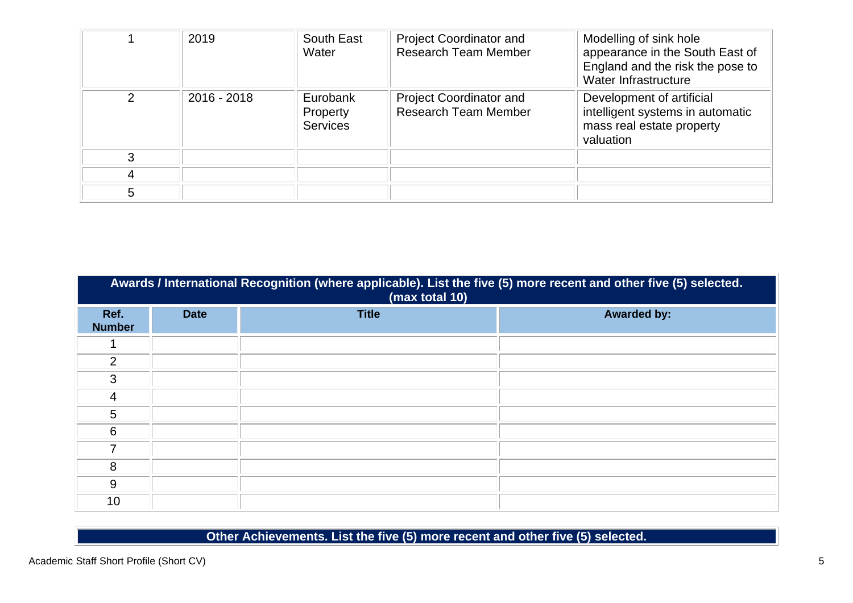|               | 2019          | South East<br>Water                     | <b>Project Coordinator and</b><br><b>Research Team Member</b> | Modelling of sink hole<br>appearance in the South East of<br>England and the risk the pose to<br>Water Infrastructure |
|---------------|---------------|-----------------------------------------|---------------------------------------------------------------|-----------------------------------------------------------------------------------------------------------------------|
| $\mathcal{P}$ | $2016 - 2018$ | Eurobank<br>Property<br><b>Services</b> | <b>Project Coordinator and</b><br><b>Research Team Member</b> | Development of artificial<br>intelligent systems in automatic<br>mass real estate property<br>valuation               |
| 3             |               |                                         |                                                               |                                                                                                                       |
|               |               |                                         |                                                               |                                                                                                                       |
| 5             |               |                                         |                                                               |                                                                                                                       |

|                       | Awards / International Recognition (where applicable). List the five (5) more recent and other five (5) selected.<br>(max total 10) |              |                    |  |  |  |
|-----------------------|-------------------------------------------------------------------------------------------------------------------------------------|--------------|--------------------|--|--|--|
| Ref.<br><b>Number</b> | <b>Date</b>                                                                                                                         | <b>Title</b> | <b>Awarded by:</b> |  |  |  |
|                       |                                                                                                                                     |              |                    |  |  |  |
| 2                     |                                                                                                                                     |              |                    |  |  |  |
| 3                     |                                                                                                                                     |              |                    |  |  |  |
| 4                     |                                                                                                                                     |              |                    |  |  |  |
| 5                     |                                                                                                                                     |              |                    |  |  |  |
| 6                     |                                                                                                                                     |              |                    |  |  |  |
| 7                     |                                                                                                                                     |              |                    |  |  |  |
| 8                     |                                                                                                                                     |              |                    |  |  |  |
| 9                     |                                                                                                                                     |              |                    |  |  |  |
| 10                    |                                                                                                                                     |              |                    |  |  |  |

**Other Achievements. List the five (5) more recent and other five (5) selected.**